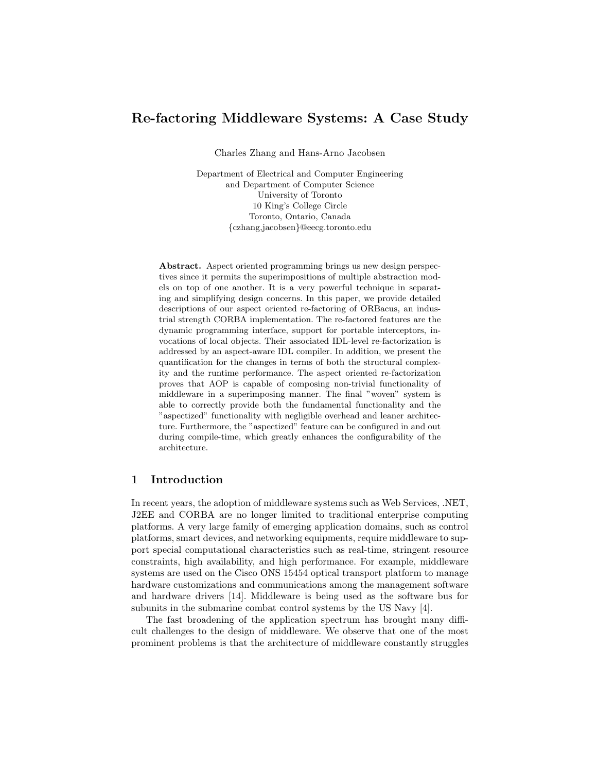# Re-factoring Middleware Systems: A Case Study

Charles Zhang and Hans-Arno Jacobsen

Department of Electrical and Computer Engineering and Department of Computer Science University of Toronto 10 King's College Circle Toronto, Ontario, Canada {czhang,jacobsen}@eecg.toronto.edu

Abstract. Aspect oriented programming brings us new design perspectives since it permits the superimpositions of multiple abstraction models on top of one another. It is a very powerful technique in separating and simplifying design concerns. In this paper, we provide detailed descriptions of our aspect oriented re-factoring of ORBacus, an industrial strength CORBA implementation. The re-factored features are the dynamic programming interface, support for portable interceptors, invocations of local objects. Their associated IDL-level re-factorization is addressed by an aspect-aware IDL compiler. In addition, we present the quantification for the changes in terms of both the structural complexity and the runtime performance. The aspect oriented re-factorization proves that AOP is capable of composing non-trivial functionality of middleware in a superimposing manner. The final "woven" system is able to correctly provide both the fundamental functionality and the "aspectized" functionality with negligible overhead and leaner architecture. Furthermore, the "aspectized" feature can be configured in and out during compile-time, which greatly enhances the configurability of the architecture.

# 1 Introduction

In recent years, the adoption of middleware systems such as Web Services, .NET, J2EE and CORBA are no longer limited to traditional enterprise computing platforms. A very large family of emerging application domains, such as control platforms, smart devices, and networking equipments, require middleware to support special computational characteristics such as real-time, stringent resource constraints, high availability, and high performance. For example, middleware systems are used on the Cisco ONS 15454 optical transport platform to manage hardware customizations and communications among the management software and hardware drivers [14]. Middleware is being used as the software bus for subunits in the submarine combat control systems by the US Navy [4].

The fast broadening of the application spectrum has brought many difficult challenges to the design of middleware. We observe that one of the most prominent problems is that the architecture of middleware constantly struggles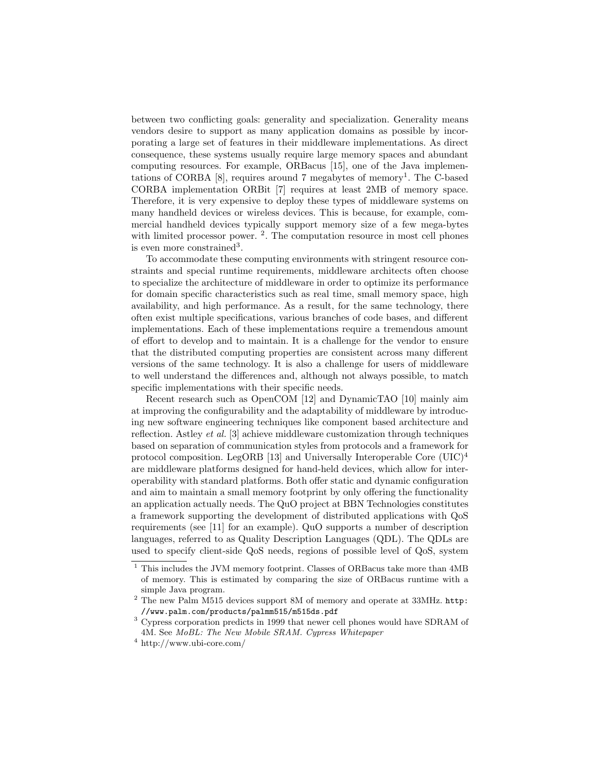between two conflicting goals: generality and specialization. Generality means vendors desire to support as many application domains as possible by incorporating a large set of features in their middleware implementations. As direct consequence, these systems usually require large memory spaces and abundant computing resources. For example, ORBacus [15], one of the Java implementations of CORBA  $[8]$ , requires around 7 megabytes of memory<sup>1</sup>. The C-based CORBA implementation ORBit [7] requires at least 2MB of memory space. Therefore, it is very expensive to deploy these types of middleware systems on many handheld devices or wireless devices. This is because, for example, commercial handheld devices typically support memory size of a few mega-bytes with limited processor power.<sup>2</sup>. The computation resource in most cell phones is even more constrained<sup>3</sup> .

To accommodate these computing environments with stringent resource constraints and special runtime requirements, middleware architects often choose to specialize the architecture of middleware in order to optimize its performance for domain specific characteristics such as real time, small memory space, high availability, and high performance. As a result, for the same technology, there often exist multiple specifications, various branches of code bases, and different implementations. Each of these implementations require a tremendous amount of effort to develop and to maintain. It is a challenge for the vendor to ensure that the distributed computing properties are consistent across many different versions of the same technology. It is also a challenge for users of middleware to well understand the differences and, although not always possible, to match specific implementations with their specific needs.

Recent research such as OpenCOM [12] and DynamicTAO [10] mainly aim at improving the configurability and the adaptability of middleware by introducing new software engineering techniques like component based architecture and reflection. Astley et al. [3] achieve middleware customization through techniques based on separation of communication styles from protocols and a framework for protocol composition. LegORB [13] and Universally Interoperable Core  $(UIC)^4$ are middleware platforms designed for hand-held devices, which allow for interoperability with standard platforms. Both offer static and dynamic configuration and aim to maintain a small memory footprint by only offering the functionality an application actually needs. The QuO project at BBN Technologies constitutes a framework supporting the development of distributed applications with QoS requirements (see [11] for an example). QuO supports a number of description languages, referred to as Quality Description Languages (QDL). The QDLs are used to specify client-side QoS needs, regions of possible level of QoS, system

 $^{\rm 1}$  This includes the JVM memory footprint. Classes of ORBacus take more than 4MB of memory. This is estimated by comparing the size of ORBacus runtime with a simple Java program.

<sup>&</sup>lt;sup>2</sup> The new Palm M515 devices support 8M of memory and operate at 33MHz. http: //www.palm.com/products/palmm515/m515ds.pdf

<sup>3</sup> Cypress corporation predicts in 1999 that newer cell phones would have SDRAM of 4M. See MoBL: The New Mobile SRAM. Cypress Whitepaper

 $^4$ http://www.ubi-core.com/  $\,$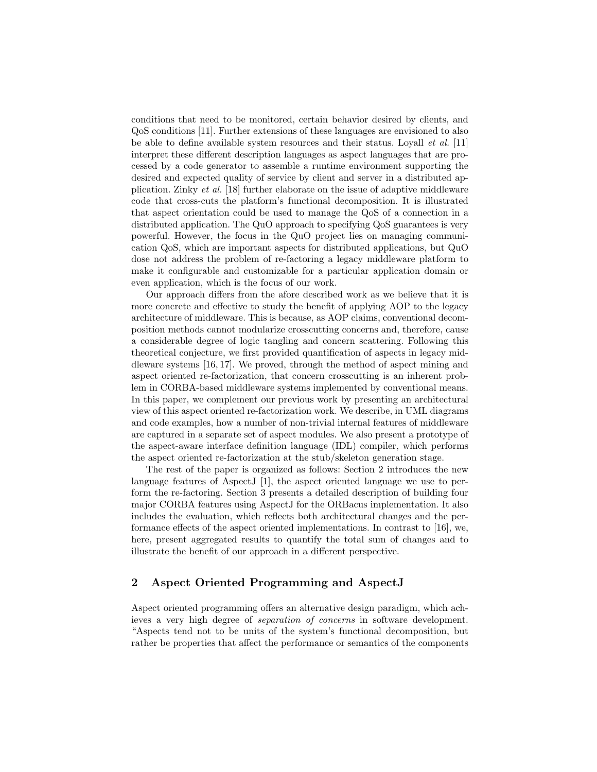conditions that need to be monitored, certain behavior desired by clients, and QoS conditions [11]. Further extensions of these languages are envisioned to also be able to define available system resources and their status. Loyall  $et \ al.$  [11] interpret these different description languages as aspect languages that are processed by a code generator to assemble a runtime environment supporting the desired and expected quality of service by client and server in a distributed application. Zinky et al. [18] further elaborate on the issue of adaptive middleware code that cross-cuts the platform's functional decomposition. It is illustrated that aspect orientation could be used to manage the QoS of a connection in a distributed application. The QuO approach to specifying QoS guarantees is very powerful. However, the focus in the QuO project lies on managing communication QoS, which are important aspects for distributed applications, but QuO dose not address the problem of re-factoring a legacy middleware platform to make it configurable and customizable for a particular application domain or even application, which is the focus of our work.

Our approach differs from the afore described work as we believe that it is more concrete and effective to study the benefit of applying AOP to the legacy architecture of middleware. This is because, as AOP claims, conventional decomposition methods cannot modularize crosscutting concerns and, therefore, cause a considerable degree of logic tangling and concern scattering. Following this theoretical conjecture, we first provided quantification of aspects in legacy middleware systems [16, 17]. We proved, through the method of aspect mining and aspect oriented re-factorization, that concern crosscutting is an inherent problem in CORBA-based middleware systems implemented by conventional means. In this paper, we complement our previous work by presenting an architectural view of this aspect oriented re-factorization work. We describe, in UML diagrams and code examples, how a number of non-trivial internal features of middleware are captured in a separate set of aspect modules. We also present a prototype of the aspect-aware interface definition language (IDL) compiler, which performs the aspect oriented re-factorization at the stub/skeleton generation stage.

The rest of the paper is organized as follows: Section 2 introduces the new language features of AspectJ [1], the aspect oriented language we use to perform the re-factoring. Section 3 presents a detailed description of building four major CORBA features using AspectJ for the ORBacus implementation. It also includes the evaluation, which reflects both architectural changes and the performance effects of the aspect oriented implementations. In contrast to [16], we, here, present aggregated results to quantify the total sum of changes and to illustrate the benefit of our approach in a different perspective.

# 2 Aspect Oriented Programming and AspectJ

Aspect oriented programming offers an alternative design paradigm, which achieves a very high degree of separation of concerns in software development. "Aspects tend not to be units of the system's functional decomposition, but rather be properties that affect the performance or semantics of the components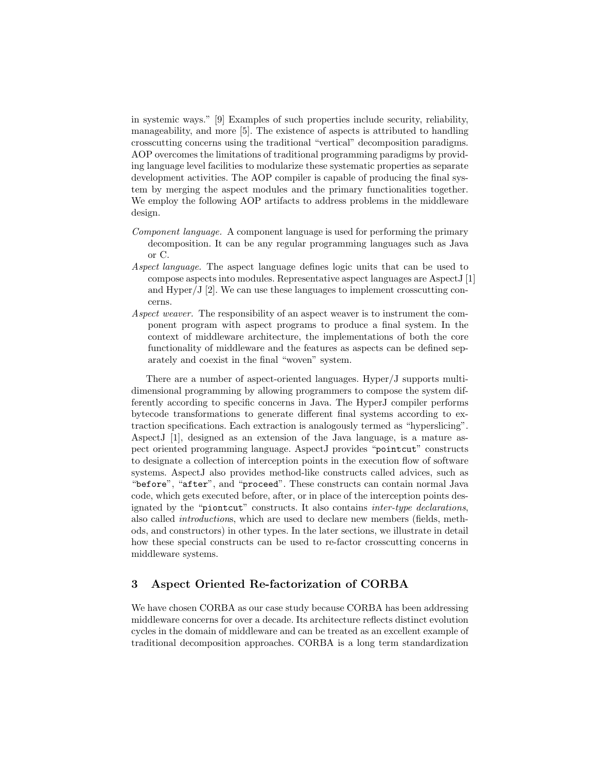in systemic ways." [9] Examples of such properties include security, reliability, manageability, and more [5]. The existence of aspects is attributed to handling crosscutting concerns using the traditional "vertical" decomposition paradigms. AOP overcomes the limitations of traditional programming paradigms by providing language level facilities to modularize these systematic properties as separate development activities. The AOP compiler is capable of producing the final system by merging the aspect modules and the primary functionalities together. We employ the following AOP artifacts to address problems in the middleware design.

- Component language. A component language is used for performing the primary decomposition. It can be any regular programming languages such as Java or C.
- Aspect language. The aspect language defines logic units that can be used to compose aspects into modules. Representative aspect languages are AspectJ [1] and Hyper/J [2]. We can use these languages to implement crosscutting concerns.
- Aspect weaver. The responsibility of an aspect weaver is to instrument the component program with aspect programs to produce a final system. In the context of middleware architecture, the implementations of both the core functionality of middleware and the features as aspects can be defined separately and coexist in the final "woven" system.

There are a number of aspect-oriented languages. Hyper/J supports multidimensional programming by allowing programmers to compose the system differently according to specific concerns in Java. The HyperJ compiler performs bytecode transformations to generate different final systems according to extraction specifications. Each extraction is analogously termed as "hyperslicing". AspectJ [1], designed as an extension of the Java language, is a mature aspect oriented programming language. AspectJ provides "pointcut" constructs to designate a collection of interception points in the execution flow of software systems. AspectJ also provides method-like constructs called advices, such as "before", "after", and "proceed". These constructs can contain normal Java code, which gets executed before, after, or in place of the interception points designated by the "piontcut" constructs. It also contains inter-type declarations, also called introductions, which are used to declare new members (fields, methods, and constructors) in other types. In the later sections, we illustrate in detail how these special constructs can be used to re-factor crosscutting concerns in middleware systems.

# 3 Aspect Oriented Re-factorization of CORBA

We have chosen CORBA as our case study because CORBA has been addressing middleware concerns for over a decade. Its architecture reflects distinct evolution cycles in the domain of middleware and can be treated as an excellent example of traditional decomposition approaches. CORBA is a long term standardization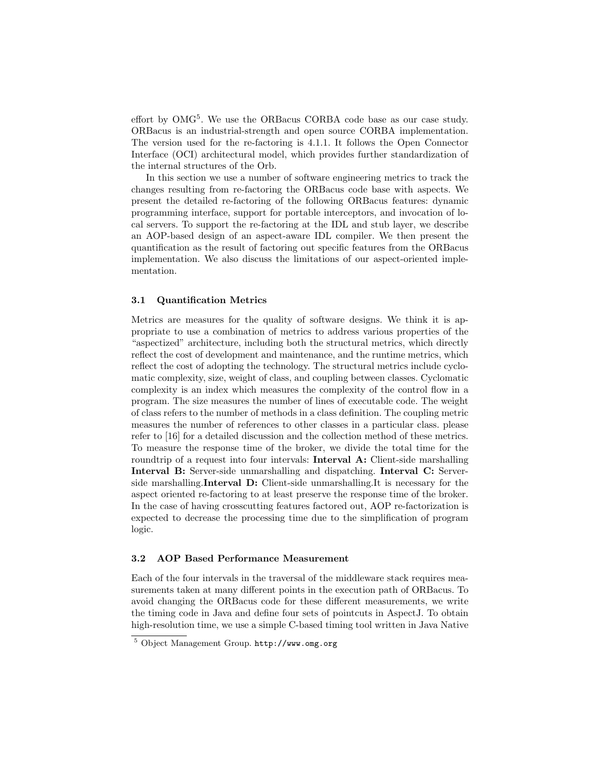effort by OMG<sup>5</sup>. We use the ORBacus CORBA code base as our case study. ORBacus is an industrial-strength and open source CORBA implementation. The version used for the re-factoring is 4.1.1. It follows the Open Connector Interface (OCI) architectural model, which provides further standardization of the internal structures of the Orb.

In this section we use a number of software engineering metrics to track the changes resulting from re-factoring the ORBacus code base with aspects. We present the detailed re-factoring of the following ORBacus features: dynamic programming interface, support for portable interceptors, and invocation of local servers. To support the re-factoring at the IDL and stub layer, we describe an AOP-based design of an aspect-aware IDL compiler. We then present the quantification as the result of factoring out specific features from the ORBacus implementation. We also discuss the limitations of our aspect-oriented implementation.

# 3.1 Quantification Metrics

Metrics are measures for the quality of software designs. We think it is appropriate to use a combination of metrics to address various properties of the "aspectized" architecture, including both the structural metrics, which directly reflect the cost of development and maintenance, and the runtime metrics, which reflect the cost of adopting the technology. The structural metrics include cyclomatic complexity, size, weight of class, and coupling between classes. Cyclomatic complexity is an index which measures the complexity of the control flow in a program. The size measures the number of lines of executable code. The weight of class refers to the number of methods in a class definition. The coupling metric measures the number of references to other classes in a particular class. please refer to [16] for a detailed discussion and the collection method of these metrics. To measure the response time of the broker, we divide the total time for the roundtrip of a request into four intervals: **Interval A:** Client-side marshalling Interval B: Server-side unmarshalling and dispatching. Interval C: Serverside marshalling.Interval D: Client-side unmarshalling.It is necessary for the aspect oriented re-factoring to at least preserve the response time of the broker. In the case of having crosscutting features factored out, AOP re-factorization is expected to decrease the processing time due to the simplification of program logic.

#### 3.2 AOP Based Performance Measurement

Each of the four intervals in the traversal of the middleware stack requires measurements taken at many different points in the execution path of ORBacus. To avoid changing the ORBacus code for these different measurements, we write the timing code in Java and define four sets of pointcuts in AspectJ. To obtain high-resolution time, we use a simple C-based timing tool written in Java Native

<sup>5</sup> Object Management Group. http://www.omg.org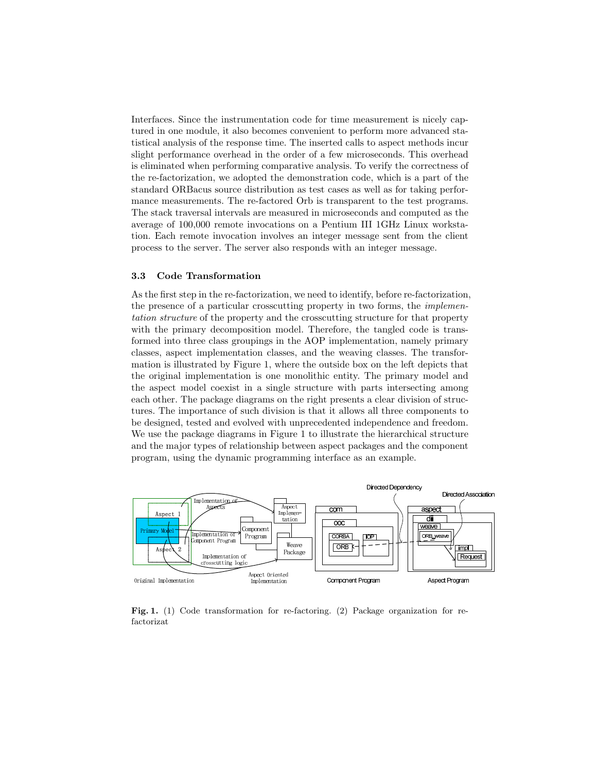Interfaces. Since the instrumentation code for time measurement is nicely captured in one module, it also becomes convenient to perform more advanced statistical analysis of the response time. The inserted calls to aspect methods incur slight performance overhead in the order of a few microseconds. This overhead is eliminated when performing comparative analysis. To verify the correctness of the re-factorization, we adopted the demonstration code, which is a part of the standard ORBacus source distribution as test cases as well as for taking performance measurements. The re-factored Orb is transparent to the test programs. The stack traversal intervals are measured in microseconds and computed as the average of 100,000 remote invocations on a Pentium III 1GHz Linux workstation. Each remote invocation involves an integer message sent from the client process to the server. The server also responds with an integer message.

# 3.3 Code Transformation

As the first step in the re-factorization, we need to identify, before re-factorization, the presence of a particular crosscutting property in two forms, the implementation structure of the property and the crosscutting structure for that property with the primary decomposition model. Therefore, the tangled code is transformed into three class groupings in the AOP implementation, namely primary classes, aspect implementation classes, and the weaving classes. The transformation is illustrated by Figure 1, where the outside box on the left depicts that the original implementation is one monolithic entity. The primary model and the aspect model coexist in a single structure with parts intersecting among each other. The package diagrams on the right presents a clear division of structures. The importance of such division is that it allows all three components to be designed, tested and evolved with unprecedented independence and freedom. We use the package diagrams in Figure 1 to illustrate the hierarchical structure and the major types of relationship between aspect packages and the component program, using the dynamic programming interface as an example.



Fig. 1. (1) Code transformation for re-factoring. (2) Package organization for refactorizat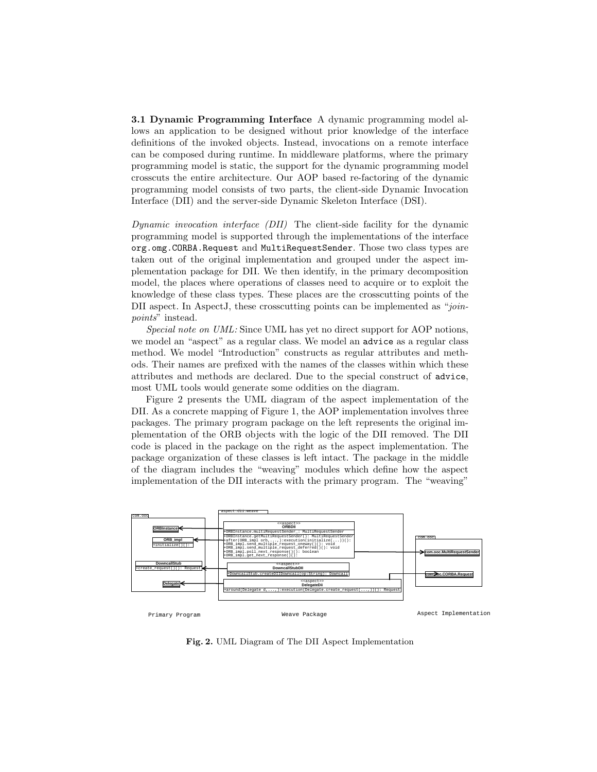3.1 Dynamic Programming Interface A dynamic programming model allows an application to be designed without prior knowledge of the interface definitions of the invoked objects. Instead, invocations on a remote interface can be composed during runtime. In middleware platforms, where the primary programming model is static, the support for the dynamic programming model crosscuts the entire architecture. Our AOP based re-factoring of the dynamic programming model consists of two parts, the client-side Dynamic Invocation Interface (DII) and the server-side Dynamic Skeleton Interface (DSI).

Dynamic invocation interface (DII) The client-side facility for the dynamic programming model is supported through the implementations of the interface org.omg.CORBA.Request and MultiRequestSender. Those two class types are taken out of the original implementation and grouped under the aspect implementation package for DII. We then identify, in the primary decomposition model, the places where operations of classes need to acquire or to exploit the knowledge of these class types. These places are the crosscutting points of the DII aspect. In AspectJ, these crosscutting points can be implemented as "joinpoints" instead.

Special note on UML: Since UML has yet no direct support for AOP notions, we model an "aspect" as a regular class. We model an advice as a regular class method. We model "Introduction" constructs as regular attributes and methods. Their names are prefixed with the names of the classes within which these attributes and methods are declared. Due to the special construct of advice, most UML tools would generate some oddities on the diagram.

Figure 2 presents the UML diagram of the aspect implementation of the DII. As a concrete mapping of Figure 1, the AOP implementation involves three packages. The primary program package on the left represents the original implementation of the ORB objects with the logic of the DII removed. The DII code is placed in the package on the right as the aspect implementation. The package organization of these classes is left intact. The package in the middle of the diagram includes the "weaving" modules which define how the aspect implementation of the DII interacts with the primary program. The "weaving"



Fig. 2. UML Diagram of The DII Aspect Implementation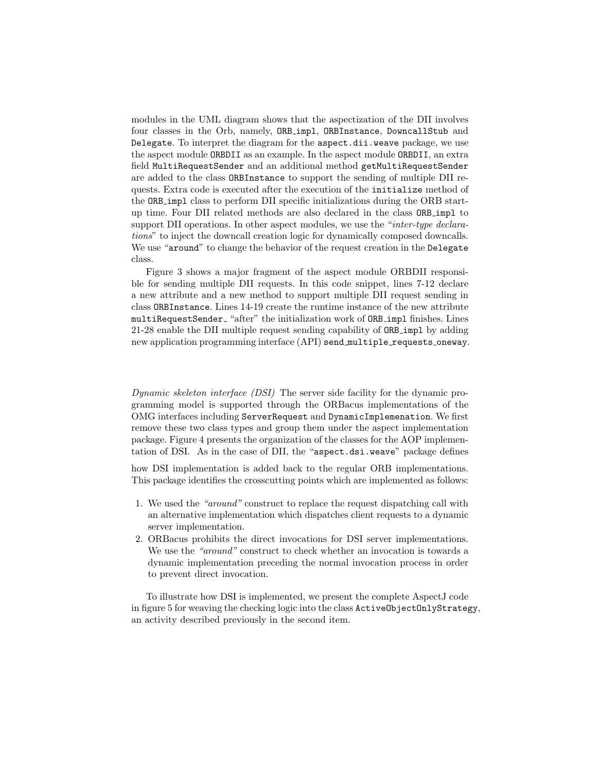modules in the UML diagram shows that the aspectization of the DII involves four classes in the Orb, namely, ORB impl, ORBInstance, DowncallStub and Delegate. To interpret the diagram for the aspect.dii.weave package, we use the aspect module ORBDII as an example. In the aspect module ORBDII, an extra field MultiRequestSender and an additional method getMultiRequestSender are added to the class ORBInstance to support the sending of multiple DII requests. Extra code is executed after the execution of the initialize method of the ORB impl class to perform DII specific initializations during the ORB startup time. Four DII related methods are also declared in the class ORB impl to support DII operations. In other aspect modules, we use the "*inter-type declara*tions" to inject the downcall creation logic for dynamically composed downcalls. We use "around" to change the behavior of the request creation in the Delegate class.

Figure 3 shows a major fragment of the aspect module ORBDII responsible for sending multiple DII requests. In this code snippet, lines 7-12 declare a new attribute and a new method to support multiple DII request sending in class ORBInstance. Lines 14-19 create the runtime instance of the new attribute multiRequestSender "after" the initialization work of ORB impl finishes. Lines 21-28 enable the DII multiple request sending capability of ORB impl by adding new application programming interface (API) send multiple requests oneway.

Dynamic skeleton interface (DSI) The server side facility for the dynamic programming model is supported through the ORBacus implementations of the OMG interfaces including ServerRequest and DynamicImplemenation. We first remove these two class types and group them under the aspect implementation package. Figure 4 presents the organization of the classes for the AOP implementation of DSI. As in the case of DII, the "aspect.dsi.weave" package defines

how DSI implementation is added back to the regular ORB implementations. This package identifies the crosscutting points which are implemented as follows:

- 1. We used the "around" construct to replace the request dispatching call with an alternative implementation which dispatches client requests to a dynamic server implementation.
- 2. ORBacus prohibits the direct invocations for DSI server implementations. We use the "*around*" construct to check whether an invocation is towards a dynamic implementation preceding the normal invocation process in order to prevent direct invocation.

To illustrate how DSI is implemented, we present the complete AspectJ code in figure 5 for weaving the checking logic into the class ActiveObjectOnlyStrategy, an activity described previously in the second item.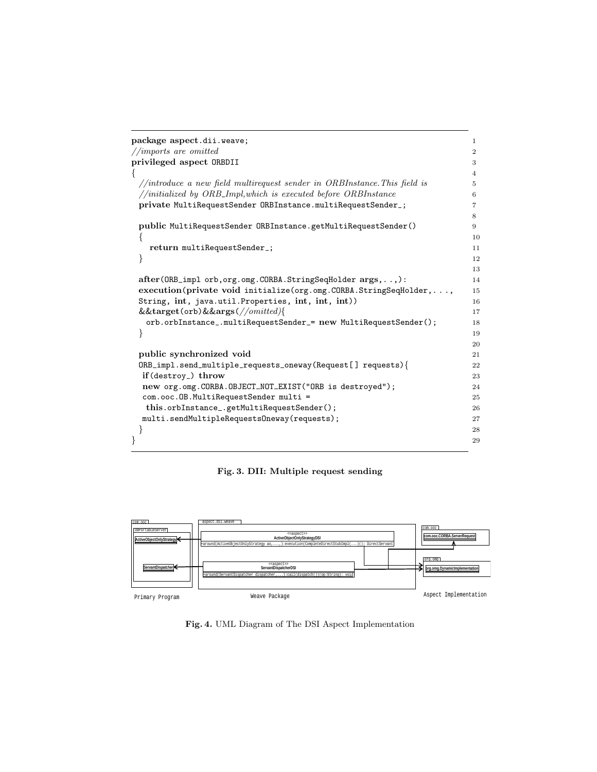| package aspect.dii.weave;                                                                                                        | 1              |
|----------------------------------------------------------------------------------------------------------------------------------|----------------|
| $//$ imports are omitted                                                                                                         | $\overline{2}$ |
| privileged aspect ORBDII                                                                                                         | 3              |
| ₹                                                                                                                                | 4              |
| $\frac{1}{1}$ introduce a new field multirequest sender in ORBI nstance. This field is                                           | 5              |
| $// initialized by ORB\_Impl, which is executed before ORBInstance$                                                              | 6              |
| private MultiRequestSender ORBInstance.multiRequestSender_;                                                                      | 7              |
|                                                                                                                                  | 8              |
| public MultiRequestSender ORBInstance.getMultiRequestSender()                                                                    | 9              |
|                                                                                                                                  | 10             |
| return multiRequestSender_;                                                                                                      | 11             |
| }                                                                                                                                | 12             |
|                                                                                                                                  | 13             |
|                                                                                                                                  | 14             |
| after(ORB_impl orb, org.omg.CORBA.StringSeqHolder args,,):<br>execution(private void initialize(org.omg.CORBA.StringSeqHolder, , | 15             |
|                                                                                                                                  |                |
| String, int, java.util. Properties, int, int, int))                                                                              | 16             |
| $&\&\&\arget(\text{orb})\&\&\arget{\#}\sinh{\#}\$                                                                                | 17             |
| orb.orbInstance_.multiRequestSender_= new MultiRequestSender();                                                                  | 18             |
| ł                                                                                                                                | 19             |
|                                                                                                                                  | 20             |
| public synchronized void                                                                                                         | 21             |
| ORB_impl.send_multiple_requests_oneway(Request[] requests){                                                                      | 22             |
| $if$ (destroy_) throw                                                                                                            | 23             |
| new org.omg.CORBA.OBJECT_NOT_EXIST("ORB is destroyed");                                                                          | 24             |
| com.ooc.OB.MultiRequestSender multi =                                                                                            | 25             |
| this.orbInstance_.getMultiRequestSender();                                                                                       | 26             |
| multi.sendMultipleRequestsOneway(requests);                                                                                      | 27             |
|                                                                                                                                  | 28             |
|                                                                                                                                  | 29             |

Fig. 3. DII: Multiple request sending



Fig. 4. UML Diagram of The DSI Aspect Implementation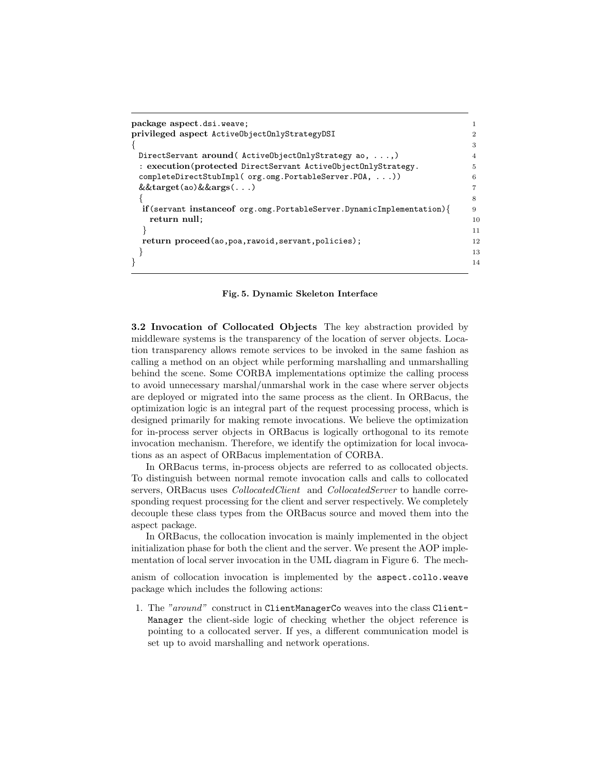| package aspect.dsi.weave;                                                      |    |
|--------------------------------------------------------------------------------|----|
| privileged aspect ActiveObjectOnlyStrategyDSI                                  | 2  |
|                                                                                | з  |
| DirectServant around (ActiveObjectOnlyStrategy ao, ,)                          |    |
| : execution(protected DirectServant ActiveObjectOnlyStrategy.                  | 5  |
| completeDirectStubImpl( org.omg.PortableServer.POA, ))                         | 6  |
| $&\&\&\arget(ao)&\&\&\args()\$                                                 |    |
|                                                                                | 8  |
| if (servant instance of $org.$ omg. Portable Server. Dynamic Implementation) { | 9  |
| return null;                                                                   | 10 |
|                                                                                | 11 |
| return proceed(ao, poa, rawoid, servant, policies);                            | 12 |
|                                                                                | 13 |
|                                                                                | 14 |
|                                                                                |    |

#### Fig. 5. Dynamic Skeleton Interface

3.2 Invocation of Collocated Objects The key abstraction provided by middleware systems is the transparency of the location of server objects. Location transparency allows remote services to be invoked in the same fashion as calling a method on an object while performing marshalling and unmarshalling behind the scene. Some CORBA implementations optimize the calling process to avoid unnecessary marshal/unmarshal work in the case where server objects are deployed or migrated into the same process as the client. In ORBacus, the optimization logic is an integral part of the request processing process, which is designed primarily for making remote invocations. We believe the optimization for in-process server objects in ORBacus is logically orthogonal to its remote invocation mechanism. Therefore, we identify the optimization for local invocations as an aspect of ORBacus implementation of CORBA.

In ORBacus terms, in-process objects are referred to as collocated objects. To distinguish between normal remote invocation calls and calls to collocated servers, ORBacus uses *CollocatedClient* and *CollocatedServer* to handle corresponding request processing for the client and server respectively. We completely decouple these class types from the ORBacus source and moved them into the aspect package.

In ORBacus, the collocation invocation is mainly implemented in the object initialization phase for both the client and the server. We present the AOP implementation of local server invocation in the UML diagram in Figure 6. The mech-

anism of collocation invocation is implemented by the aspect.collo.weave package which includes the following actions:

1. The "around" construct in ClientManagerCo weaves into the class Client-Manager the client-side logic of checking whether the object reference is pointing to a collocated server. If yes, a different communication model is set up to avoid marshalling and network operations.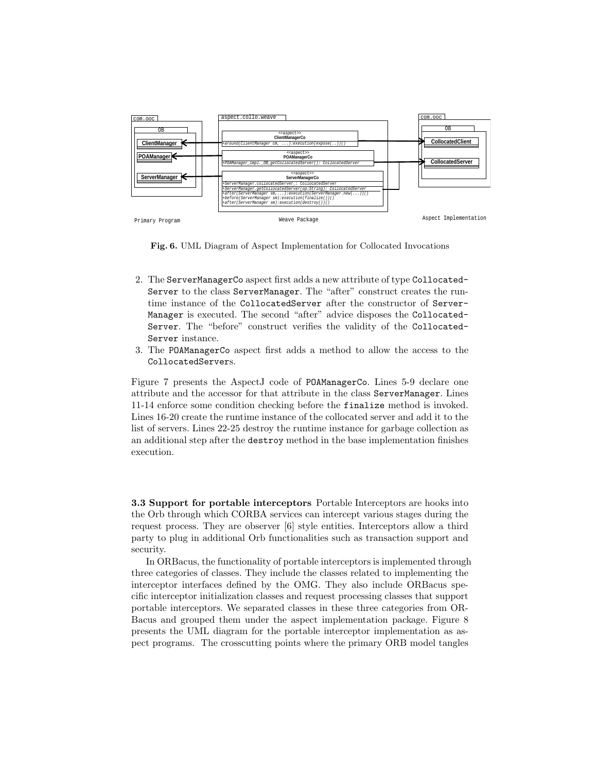

Fig. 6. UML Diagram of Aspect Implementation for Collocated Invocations

- 2. The ServerManagerCo aspect first adds a new attribute of type Collocated-Server to the class ServerManager. The "after" construct creates the runtime instance of the CollocatedServer after the constructor of Server-Manager is executed. The second "after" advice disposes the Collocated-Server. The "before" construct verifies the validity of the Collocated-Server instance.
- 3. The POAManagerCo aspect first adds a method to allow the access to the CollocatedServers.

Figure 7 presents the AspectJ code of POAManagerCo. Lines 5-9 declare one attribute and the accessor for that attribute in the class ServerManager. Lines 11-14 enforce some condition checking before the finalize method is invoked. Lines 16-20 create the runtime instance of the collocated server and add it to the list of servers. Lines 22-25 destroy the runtime instance for garbage collection as an additional step after the destroy method in the base implementation finishes execution.

3.3 Support for portable interceptors Portable Interceptors are hooks into the Orb through which CORBA services can intercept various stages during the request process. They are observer [6] style entities. Interceptors allow a third party to plug in additional Orb functionalities such as transaction support and security.

In ORBacus, the functionality of portable interceptors is implemented through three categories of classes. They include the classes related to implementing the interceptor interfaces defined by the OMG. They also include ORBacus specific interceptor initialization classes and request processing classes that support portable interceptors. We separated classes in these three categories from OR-Bacus and grouped them under the aspect implementation package. Figure 8 presents the UML diagram for the portable interceptor implementation as aspect programs. The crosscutting points where the primary ORB model tangles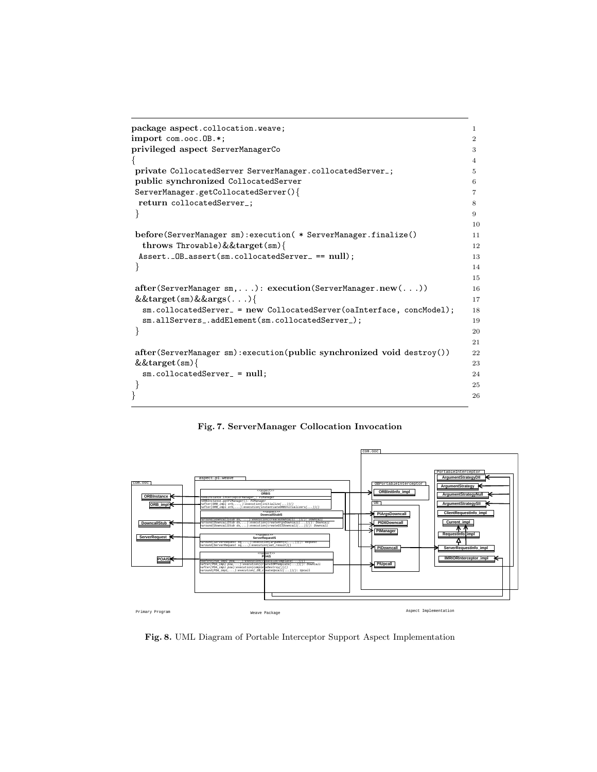```
package aspect.collocation.weave; 1
import com.ooc.OB.*; 2
privileged aspect ServerManagerCo 33
{ 4
private CollocatedServer ServerManager.collocatedServer_; 55
public synchronized CollocatedServer 66
ServerManager.getCollocatedServer(){ 7
return collocatedServer ; 8 and 8 and 8 and 8 and 8 and 8 and 8 and 8 and 8 and 8 and 8 and 8 and 8 and 8 and 8 and 8 and 8 and 8 and 8 and 8 and 8 and 8 and 8 and 8 and 8 and 8 and 8 and 8 and 8 and 8 and 8 and 8 and 8 an
\} 9
                                               10
before(ServerManager sm):execution( * ServerManager.finalize() 11
 throws Throwable) \&\&\text{target}(\text{sm})\{ 12
\texttt{Assert.}\_\texttt{0B-assert}(\texttt{sm.}\texttt{collocatedServer}\_\texttt{==}\texttt{null}); 13
}<br>}<br>}
                                               15
after(ServerManager sm, ...): execution(ServerManager.new(...)) 16
&\&target(\text{sm})\&&args(\ldots){\qquad} 17
 sm.collocatedServer = new CollocatedServer(oaInterface, concModel); 18
 sm.allServers_.addElement(sm.collocatedServer_); 19
\} 20
                                               21
after(ServerManager sm):execution(public synchronized void destroy()) 22
&\&\text{target}(\text{sm}) { 23
 sm.collocatedServer_ = null; 24
\} 25
\} 26
```
Fig. 7. ServerManager Collocation Invocation



Fig. 8. UML Diagram of Portable Interceptor Support Aspect Implementation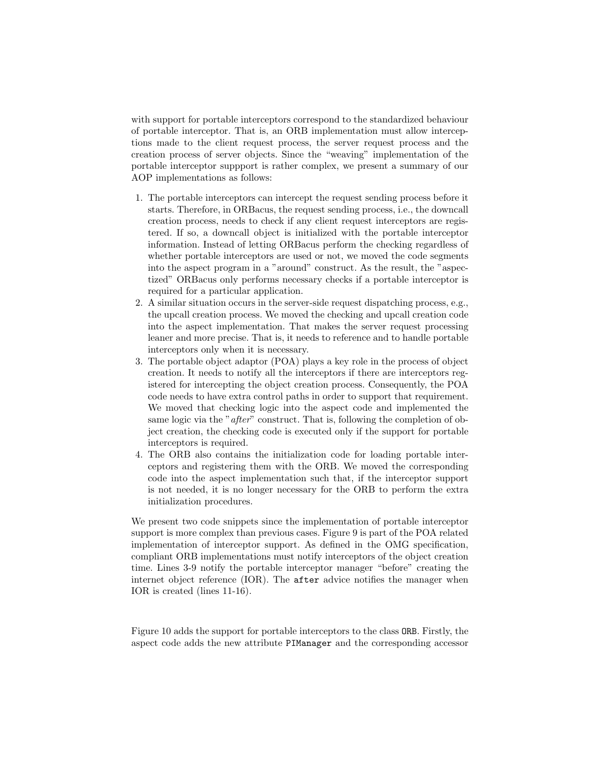with support for portable interceptors correspond to the standardized behaviour of portable interceptor. That is, an ORB implementation must allow interceptions made to the client request process, the server request process and the creation process of server objects. Since the "weaving" implementation of the portable interceptor suppport is rather complex, we present a summary of our AOP implementations as follows:

- 1. The portable interceptors can intercept the request sending process before it starts. Therefore, in ORBacus, the request sending process, i.e., the downcall creation process, needs to check if any client request interceptors are registered. If so, a downcall object is initialized with the portable interceptor information. Instead of letting ORBacus perform the checking regardless of whether portable interceptors are used or not, we moved the code segments into the aspect program in a "around" construct. As the result, the "aspectized" ORBacus only performs necessary checks if a portable interceptor is required for a particular application.
- 2. A similar situation occurs in the server-side request dispatching process, e.g., the upcall creation process. We moved the checking and upcall creation code into the aspect implementation. That makes the server request processing leaner and more precise. That is, it needs to reference and to handle portable interceptors only when it is necessary.
- 3. The portable object adaptor (POA) plays a key role in the process of object creation. It needs to notify all the interceptors if there are interceptors registered for intercepting the object creation process. Consequently, the POA code needs to have extra control paths in order to support that requirement. We moved that checking logic into the aspect code and implemented the same logic via the "after" construct. That is, following the completion of object creation, the checking code is executed only if the support for portable interceptors is required.
- 4. The ORB also contains the initialization code for loading portable interceptors and registering them with the ORB. We moved the corresponding code into the aspect implementation such that, if the interceptor support is not needed, it is no longer necessary for the ORB to perform the extra initialization procedures.

We present two code snippets since the implementation of portable interceptor support is more complex than previous cases. Figure 9 is part of the POA related implementation of interceptor support. As defined in the OMG specification, compliant ORB implementations must notify interceptors of the object creation time. Lines 3-9 notify the portable interceptor manager "before" creating the internet object reference (IOR). The after advice notifies the manager when IOR is created (lines 11-16).

Figure 10 adds the support for portable interceptors to the class ORB. Firstly, the aspect code adds the new attribute PIManager and the corresponding accessor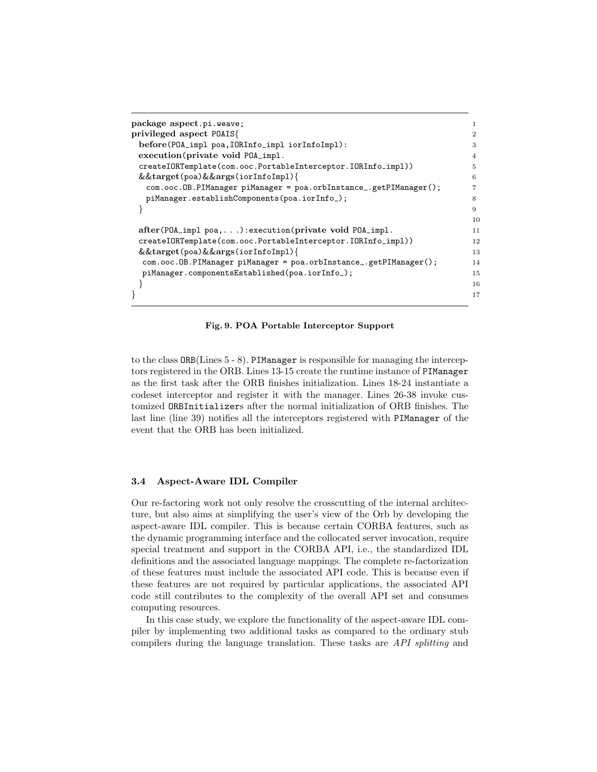| package aspect.pi.weave;                                            | 1                           |
|---------------------------------------------------------------------|-----------------------------|
| privileged aspect POAIS{                                            | $\mathcal{D}_{\mathcal{L}}$ |
| before(POA_impl poa, IORInfo_impl iorInfoImpl):                     | 3                           |
| execution (private void P0A_impl.                                   | 4                           |
| createIORTemplate(com.ooc.PortableInterceptor.IORInfo_impl))        | 5                           |
| $&\&\&\arget(poa)&\&\args(iorInfoImpl)$                             | 6                           |
| com.ooc.OB.PIManager piManager = poa.orbInstance_.getPIManager();   | 7                           |
| piManager.establishComponents(poa.iorInfo_);                        | 8                           |
|                                                                     | 9                           |
|                                                                     | 10                          |
| $after (POA\_impl poa, \ldots): execution (private void POA\_impl.$ | 11                          |
| createIORTemplate(com.ooc.PortableInterceptor.IORInfo_impl))        | 12                          |
| &⌖(poa)&&args(iorInfoImpl){                                         | 13                          |
| com.ooc.OB.PIManager piManager = poa.orbInstance_.getPIManager();   | 14                          |
| piManager.componentsEstablished(poa.iorInfo_);                      | 15                          |
|                                                                     | 16                          |
|                                                                     | 17                          |
|                                                                     |                             |

#### Fig. 9. POA Portable Interceptor Support

to the class ORB(Lines 5 - 8). PIManager is responsible for managing the interceptors registered in the ORB. Lines 13-15 create the runtime instance of PIManager as the first task after the ORB finishes initialization. Lines 18-24 instantiate a codeset interceptor and register it with the manager. Lines 26-38 invoke customized ORBInitializers after the normal initialization of ORB finishes. The last line (line 39) notifies all the interceptors registered with PIManager of the event that the ORB has been initialized.

# 3.4 Aspect-Aware IDL Compiler

Our re-factoring work not only resolve the crosscutting of the internal architecture, but also aims at simplifying the user's view of the Orb by developing the aspect-aware IDL compiler. This is because certain CORBA features, such as the dynamic programming interface and the collocated server invocation, require special treatment and support in the CORBA API, i.e., the standardized IDL definitions and the associated language mappings. The complete re-factorization of these features must include the associated API code. This is because even if these features are not required by particular applications, the associated API code still contributes to the complexity of the overall API set and consumes computing resources.

In this case study, we explore the functionality of the aspect-aware IDL compiler by implementing two additional tasks as compared to the ordinary stub compilers during the language translation. These tasks are API splitting and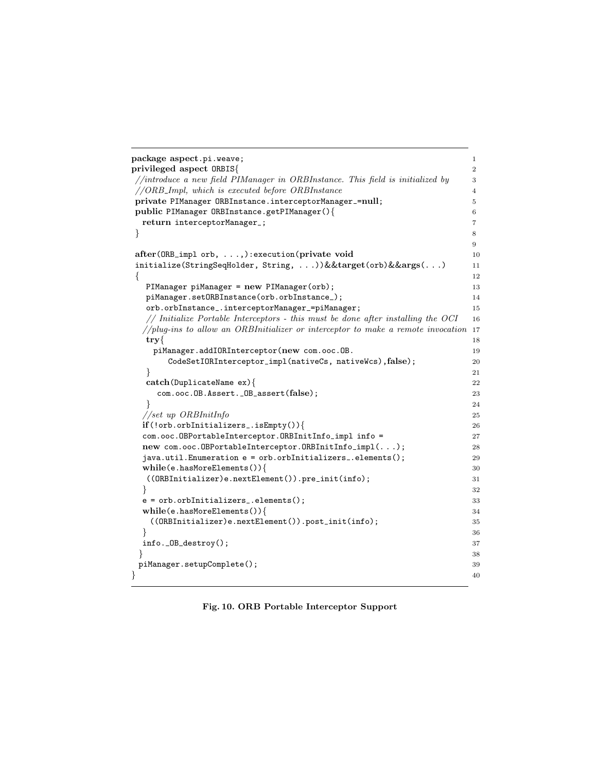```
package aspect.pi.weave; 1
privileged aspect 0RBIS{ 2
//introduce a new field PIManager in ORBInstance. This field is initialized by <math>3</math>//ORB Impl, which is executed before ORBInstance 4
private PIManager ORBInstance.interceptorManager_=null; 5
public PIManager ORBInstance.getPIManager(){ 6
 return interceptorManager ; 7 and 2007 and 2008 and 2008 and 2008 and 2008 and 2008 and 2008 and 2008 and 2008 \sigma} 8
                                           9
after(ORB_impl orb, ...,):execution(private void 10
initialize(StringSeqHolder, String, . . .))&&target(orb)&&args(. . .) 11
{ 12
 PIManager piManager = new PIManager(orb); 13
 piManager.setORBInstance(orb.orbInstance_); 14
 orb.orbInstance .interceptorManager =piManager; 15
  // Initialize Portable Interceptors - this must be done after installing the OCI 16
 //plug-ins to allow an ORBInitializer or interceptor to make a remote invocation 17
  \text{try}\{\piManager.addIORInterceptor(new com.ooc.OB. 19
    CodeSetIORInterceptor_impl(nativeCs, nativeWcs),false); 20
  \} 21
 catch(DuplicateName ex){ 22
   com.ooc.OB.Assert. OB assert(false); 23
  \} 24
 \frac{1}{\sqrt{\sqrt{1-\frac{1}{c^2}}} //set up ORBInitInfo 25
 if(!orb.orbInitializers .isEmpty()){ 26
 com.ooc.OBPortableInterceptor.ORBInitInfo_impl info = 27
 new com.ooc.OBPortableInterceptor.ORBInitInfo_impl(...); 28
 java.util.Enumeration e = orb.orbInitializers_.elements(); 29
 \textbf{while}(\texttt{e}.\texttt{hasMoreElements}() ) \{((ORBInitializer)e.nextElement()).pre init(info); 31
 \} 32
 e = orb.orbInitializers_.elements(); 33
 \textbf{while}(\texttt{e}.\texttt{hasMoreElements}())\}\((ORBInitializer)e.nextElement()).post init(info); 35
 \} 36
 info. OB destroy(); 37
 \} 38
piManager.setupComplete(); 39
\} 40
```
#### Fig. 10. ORB Portable Interceptor Support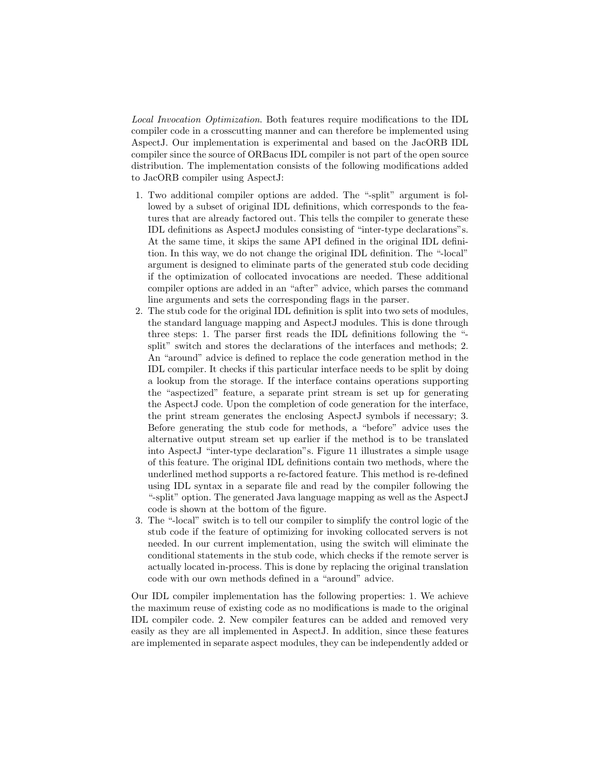Local Invocation Optimization. Both features require modifications to the IDL compiler code in a crosscutting manner and can therefore be implemented using AspectJ. Our implementation is experimental and based on the JacORB IDL compiler since the source of ORBacus IDL compiler is not part of the open source distribution. The implementation consists of the following modifications added to JacORB compiler using AspectJ:

- 1. Two additional compiler options are added. The "-split" argument is followed by a subset of original IDL definitions, which corresponds to the features that are already factored out. This tells the compiler to generate these IDL definitions as AspectJ modules consisting of "inter-type declarations"s. At the same time, it skips the same API defined in the original IDL definition. In this way, we do not change the original IDL definition. The "-local" argument is designed to eliminate parts of the generated stub code deciding if the optimization of collocated invocations are needed. These additional compiler options are added in an "after" advice, which parses the command line arguments and sets the corresponding flags in the parser.
- 2. The stub code for the original IDL definition is split into two sets of modules, the standard language mapping and AspectJ modules. This is done through three steps: 1. The parser first reads the IDL definitions following the " split" switch and stores the declarations of the interfaces and methods; 2. An "around" advice is defined to replace the code generation method in the IDL compiler. It checks if this particular interface needs to be split by doing a lookup from the storage. If the interface contains operations supporting the "aspectized" feature, a separate print stream is set up for generating the AspectJ code. Upon the completion of code generation for the interface, the print stream generates the enclosing AspectJ symbols if necessary; 3. Before generating the stub code for methods, a "before" advice uses the alternative output stream set up earlier if the method is to be translated into AspectJ "inter-type declaration"s. Figure 11 illustrates a simple usage of this feature. The original IDL definitions contain two methods, where the underlined method supports a re-factored feature. This method is re-defined using IDL syntax in a separate file and read by the compiler following the "-split" option. The generated Java language mapping as well as the AspectJ code is shown at the bottom of the figure.
- 3. The "-local" switch is to tell our compiler to simplify the control logic of the stub code if the feature of optimizing for invoking collocated servers is not needed. In our current implementation, using the switch will eliminate the conditional statements in the stub code, which checks if the remote server is actually located in-process. This is done by replacing the original translation code with our own methods defined in a "around" advice.

Our IDL compiler implementation has the following properties: 1. We achieve the maximum reuse of existing code as no modifications is made to the original IDL compiler code. 2. New compiler features can be added and removed very easily as they are all implemented in AspectJ. In addition, since these features are implemented in separate aspect modules, they can be independently added or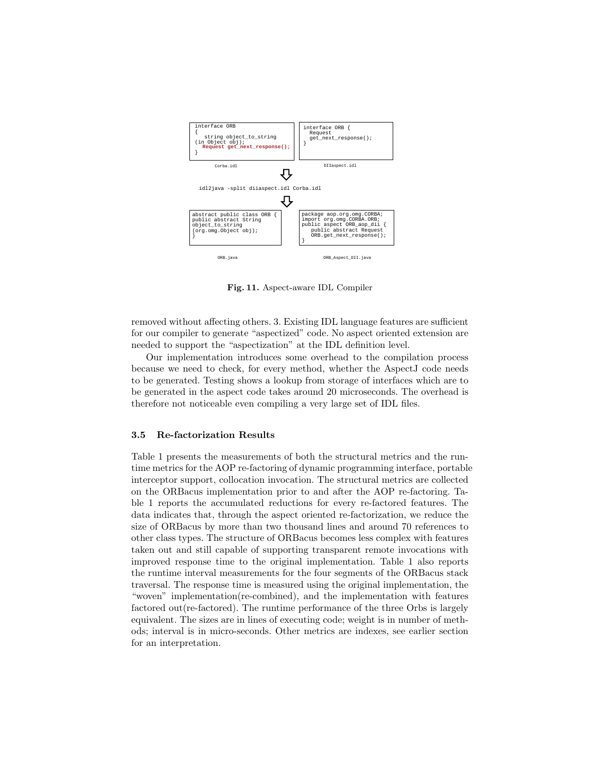

Fig. 11. Aspect-aware IDL Compiler

removed without affecting others. 3. Existing IDL language features are sufficient for our compiler to generate "aspectized" code. No aspect oriented extension are needed to support the "aspectization" at the IDL definition level.

Our implementation introduces some overhead to the compilation process because we need to check, for every method, whether the AspectJ code needs to be generated. Testing shows a lookup from storage of interfaces which are to be generated in the aspect code takes around 20 microseconds. The overhead is therefore not noticeable even compiling a very large set of IDL files.

# 3.5 Re-factorization Results

Table 1 presents the measurements of both the structural metrics and the runtime metrics for the AOP re-factoring of dynamic programming interface, portable interceptor support, collocation invocation. The structural metrics are collected on the ORBacus implementation prior to and after the AOP re-factoring. Table 1 reports the accumulated reductions for every re-factored features. The data indicates that, through the aspect oriented re-factorization, we reduce the size of ORBacus by more than two thousand lines and around 70 references to other class types. The structure of ORBacus becomes less complex with features taken out and still capable of supporting transparent remote invocations with improved response time to the original implementation. Table 1 also reports the runtime interval measurements for the four segments of the ORBacus stack traversal. The response time is measured using the original implementation, the "woven" implementation(re-combined), and the implementation with features factored out(re-factored). The runtime performance of the three Orbs is largely equivalent. The sizes are in lines of executing code; weight is in number of methods; interval is in micro-seconds. Other metrics are indexes, see earlier section for an interpretation.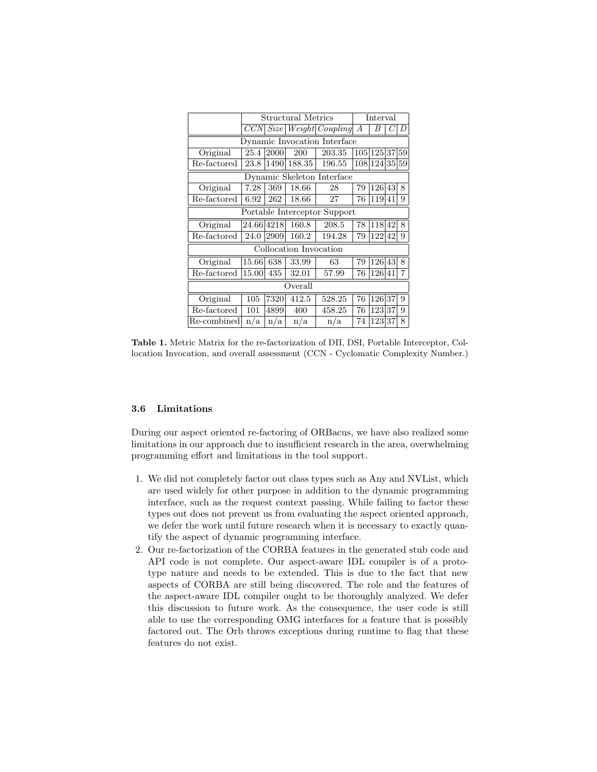|                                 | <b>Structural Metrics</b> |      |        | Interval                |     |            |    |                |  |
|---------------------------------|---------------------------|------|--------|-------------------------|-----|------------|----|----------------|--|
|                                 | CCN                       |      |        | $Size Weight\,Coupling$ | А   | B          |    | D              |  |
| Dynamic Invocation Interface    |                           |      |        |                         |     |            |    |                |  |
| Original                        | 25.4                      | 2000 | 200    | 203.35                  | 105 | 125 37     |    | 59             |  |
| Re-factored                     | 23.8                      | 1490 | 188.35 | 196.55                  |     | 108 124 35 |    | 59             |  |
| Dynamic Skeleton Interface      |                           |      |        |                         |     |            |    |                |  |
| Original                        | 7.28                      | 369  | 18.66  | 28                      | 79  | 126        | 43 | 8              |  |
| Re-factored                     | 6.92                      | 262  | 18.66  | 27                      | 76  | 119        | 41 | 9              |  |
| Portable Interceptor<br>Support |                           |      |        |                         |     |            |    |                |  |
| Original                        | 24.66                     | 4218 | 160.8  | 208.5                   | 78  | 118        | 42 | 8              |  |
| Re-factored                     | 24.0                      | 2909 | 160.2  | 194.28                  | 79  | 122 42     |    | 9              |  |
| Collocation Invocation          |                           |      |        |                         |     |            |    |                |  |
| Original                        | 15.66                     | 638  | 33.99  | 63                      | 79  | 126 43     |    | 8              |  |
| Re-factored                     | 15.00                     | 435  | 32.01  | 57.99                   | 76  | 126        | 41 | $\overline{7}$ |  |
| Overall                         |                           |      |        |                         |     |            |    |                |  |
| Original                        | 105                       | 7320 | 412.5  | 528.25                  | 76  | 126        | 37 | 9              |  |
| Re-factored                     | 101                       | 4899 | 400    | 458.25                  | 76  | 123        | 37 | 9              |  |
| Re-combined                     | n/a                       | n/a  | n/a    | n/a                     | 74  | 123        | 37 | 8              |  |

Table 1. Metric Matrix for the re-factorization of DII, DSI, Portable Interceptor, Collocation Invocation, and overall assessment (CCN - Cyclomatic Complexity Number.)

# 3.6 Limitations

During our aspect oriented re-factoring of ORBacus, we have also realized some limitations in our approach due to insufficient research in the area, overwhelming programming effort and limitations in the tool support.

- 1. We did not completely factor out class types such as Any and NVList, which are used widely for other purpose in addition to the dynamic programming interface, such as the request context passing. While failing to factor these types out does not prevent us from evaluating the aspect oriented approach, we defer the work until future research when it is necessary to exactly quantify the aspect of dynamic programming interface.
- 2. Our re-factorization of the CORBA features in the generated stub code and API code is not complete. Our aspect-aware IDL compiler is of a prototype nature and needs to be extended. This is due to the fact that new aspects of CORBA are still being discovered. The role and the features of the aspect-aware IDL compiler ought to be thoroughly analyzed. We defer this discussion to future work. As the consequence, the user code is still able to use the corresponding OMG interfaces for a feature that is possibly factored out. The Orb throws exceptions during runtime to flag that these features do not exist.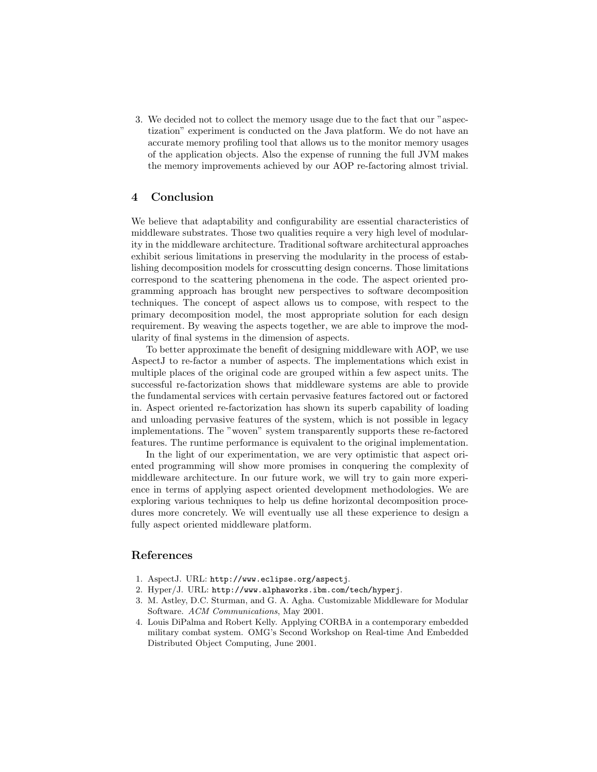3. We decided not to collect the memory usage due to the fact that our "aspectization" experiment is conducted on the Java platform. We do not have an accurate memory profiling tool that allows us to the monitor memory usages of the application objects. Also the expense of running the full JVM makes the memory improvements achieved by our AOP re-factoring almost trivial.

# 4 Conclusion

We believe that adaptability and configurability are essential characteristics of middleware substrates. Those two qualities require a very high level of modularity in the middleware architecture. Traditional software architectural approaches exhibit serious limitations in preserving the modularity in the process of establishing decomposition models for crosscutting design concerns. Those limitations correspond to the scattering phenomena in the code. The aspect oriented programming approach has brought new perspectives to software decomposition techniques. The concept of aspect allows us to compose, with respect to the primary decomposition model, the most appropriate solution for each design requirement. By weaving the aspects together, we are able to improve the modularity of final systems in the dimension of aspects.

To better approximate the benefit of designing middleware with AOP, we use AspectJ to re-factor a number of aspects. The implementations which exist in multiple places of the original code are grouped within a few aspect units. The successful re-factorization shows that middleware systems are able to provide the fundamental services with certain pervasive features factored out or factored in. Aspect oriented re-factorization has shown its superb capability of loading and unloading pervasive features of the system, which is not possible in legacy implementations. The "woven" system transparently supports these re-factored features. The runtime performance is equivalent to the original implementation.

In the light of our experimentation, we are very optimistic that aspect oriented programming will show more promises in conquering the complexity of middleware architecture. In our future work, we will try to gain more experience in terms of applying aspect oriented development methodologies. We are exploring various techniques to help us define horizontal decomposition procedures more concretely. We will eventually use all these experience to design a fully aspect oriented middleware platform.

# References

- 1. AspectJ. URL: http://www.eclipse.org/aspectj.
- 2. Hyper/J. URL: http://www.alphaworks.ibm.com/tech/hyperj.
- 3. M. Astley, D.C. Sturman, and G. A. Agha. Customizable Middleware for Modular Software. ACM Communications, May 2001.
- 4. Louis DiPalma and Robert Kelly. Applying CORBA in a contemporary embedded military combat system. OMG's Second Workshop on Real-time And Embedded Distributed Object Computing, June 2001.